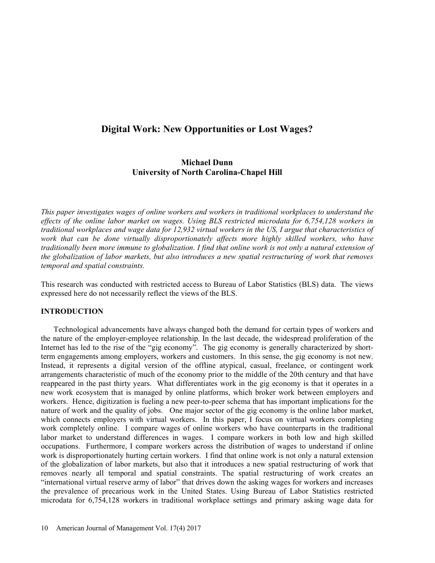# Digital Work: New Opportunities or Lost Wages?

# Michael Dunn University of North Carolina-Chapel Hill

This paper investigates wages of online workers and workers in traditional workplaces to understand the effects of the online labor market on wages. Using BLS restricted microdata for 6,754,128 workers in traditional workplaces and wage data for 12,932 virtual workers in the US, I argue that characteristics of work that can be done virtually disproportionately affects more highly skilled workers, who have traditionally been more immune to globalization. I find that online work is not only a natural extension of the globalization of labor markets, but also introduces a new spatial restructuring of work that removes temporal and spatial constraints.

This research was conducted with restricted access to Bureau of Labor Statistics (BLS) data. The views expressed here do not necessarily reflect the views of the BLS.

## INTRODUCTION

Technological advancements have always changed both the demand for certain types of workers and the nature of the employer-employee relationship. In the last decade, the widespread proliferation of the Internet has led to the rise of the "gig economy". The gig economy is generally characterized by shortterm engagements among employers, workers and customers. In this sense, the gig economy is not new. Instead, it represents a digital version of the offline atypical, casual, freelance, or contingent work arrangements characteristic of much of the economy prior to the middle of the 20th century and that have reappeared in the past thirty years. What differentiates work in the gig economy is that it operates in a new work ecosystem that is managed by online platforms, which broker work between employers and workers. Hence, digitization is fueling a new peer-to-peer schema that has important implications for the nature of work and the quality of jobs. One major sector of the gig economy is the online labor market, which connects employers with virtual workers. In this paper, I focus on virtual workers completing work completely online. I compare wages of online workers who have counterparts in the traditional labor market to understand differences in wages. I compare workers in both low and high skilled occupations. Furthermore, I compare workers across the distribution of wages to understand if online work is disproportionately hurting certain workers. I find that online work is not only a natural extension of the globalization of labor markets, but also that it introduces a new spatial restructuring of work that removes nearly all temporal and spatial constraints. The spatial restructuring of work creates an "international virtual reserve army of labor" that drives down the asking wages for workers and increases the prevalence of precarious work in the United States. Using Bureau of Labor Statistics restricted microdata for 6,754,128 workers in traditional workplace settings and primary asking wage data for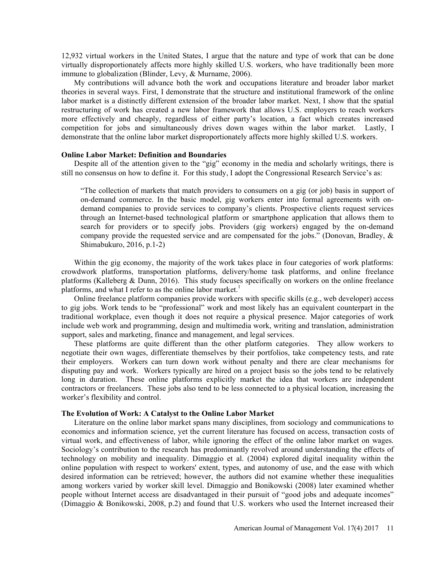12,932 virtual workers in the United States, I argue that the nature and type of work that can be done virtually disproportionately affects more highly skilled U.S. workers, who have traditionally been more immune to globalization (Blinder, Levy, & Murname, 2006).

My contributions will advance both the work and occupations literature and broader labor market theories in several ways. First, I demonstrate that the structure and institutional framework of the online labor market is a distinctly different extension of the broader labor market. Next, I show that the spatial restructuring of work has created a new labor framework that allows U.S. employers to reach workers more effectively and cheaply, regardless of either party's location, a fact which creates increased competition for jobs and simultaneously drives down wages within the labor market. Lastly, I demonstrate that the online labor market disproportionately affects more highly skilled U.S. workers.

#### Online Labor Market: Definition and Boundaries

Despite all of the attention given to the "gig" economy in the media and scholarly writings, there is still no consensus on how to define it. For this study, I adopt the Congressional Research Service's as:

The collection of markets that match providers to consumers on a gig (or job) basis in support of on-demand commerce. In the basic model, gig workers enter into formal agreements with ondemand companies to provide services to company's clients. Prospective clients request services through an Internet-based technological platform or smartphone application that allows them to search for providers or to specify jobs. Providers (gig workers) engaged by the on-demand company provide the requested service and are compensated for the jobs." (Donovan, Bradley,  $\&$ Shimabukuro, 2016, p.1-2)

Within the gig economy, the majority of the work takes place in four categories of work platforms: crowdwork platforms, transportation platforms, delivery/home task platforms, and online freelance platforms (Kalleberg & Dunn, 2016). This study focuses specifically on workers on the online freelance platforms, and what I refer to as the online labor market.<sup>1</sup>

 Online freelance platform companies provide workers with specific skills (e.g., web developer) access to gig jobs. Work tends to be "professional" work and most likely has an equivalent counterpart in the traditional workplace, even though it does not require a physical presence. Major categories of work include web work and programming, design and multimedia work, writing and translation, administration support, sales and marketing, finance and management, and legal services.

These platforms are quite different than the other platform categories. They allow workers to negotiate their own wages, differentiate themselves by their portfolios, take competency tests, and rate their employers. Workers can turn down work without penalty and there are clear mechanisms for disputing pay and work. Workers typically are hired on a project basis so the jobs tend to be relatively long in duration. These online platforms explicitly market the idea that workers are independent contractors or freelancers. These jobs also tend to be less connected to a physical location, increasing the worker's flexibility and control.

#### The Evolution of Work: A Catalyst to the Online Labor Market

Literature on the online labor market spans many disciplines, from sociology and communications to economics and information science, yet the current literature has focused on access, transaction costs of virtual work, and effectiveness of labor, while ignoring the effect of the online labor market on wages. Sociology's contribution to the research has predominantly revolved around understanding the effects of technology on mobility and inequality. Dimaggio et al. (2004) explored digital inequality within the online population with respect to workers' extent, types, and autonomy of use, and the ease with which desired information can be retrieved; however, the authors did not examine whether these inequalities among workers varied by worker skill level. Dimaggio and Bonikowski (2008) later examined whether people without Internet access are disadvantaged in their pursuit of "good jobs and adequate incomes" (Dimaggio & Bonikowski, 2008, p.2) and found that U.S. workers who used the Internet increased their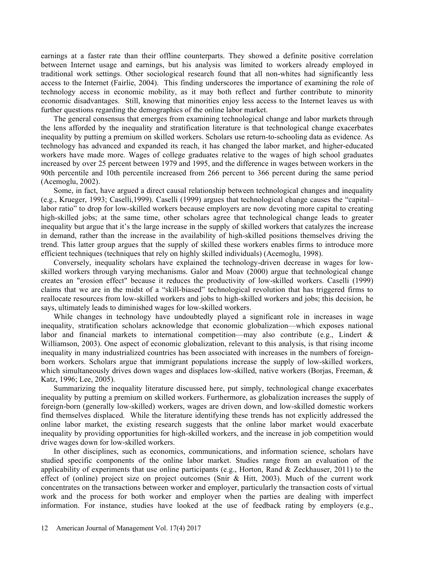earnings at a faster rate than their offline counterparts. They showed a definite positive correlation between Internet usage and earnings, but his analysis was limited to workers already employed in traditional work settings. Other sociological research found that all non-whites had significantly less access to the Internet (Fairlie, 2004). This finding underscores the importance of examining the role of technology access in economic mobility, as it may both reflect and further contribute to minority economic disadvantages. Still, knowing that minorities enjoy less access to the Internet leaves us with further questions regarding the demographics of the online labor market.

The general consensus that emerges from examining technological change and labor markets through the lens afforded by the inequality and stratification literature is that technological change exacerbates inequality by putting a premium on skilled workers. Scholars use return-to-schooling data as evidence. As technology has advanced and expanded its reach, it has changed the labor market, and higher-educated workers have made more. Wages of college graduates relative to the wages of high school graduates increased by over 25 percent between 1979 and 1995, and the difference in wages between workers in the 90th percentile and 10th percentile increased from 266 percent to 366 percent during the same period (Acemoglu, 2002).

Some, in fact, have argued a direct causal relationship between technological changes and inequality (e.g., Krueger, 1993; Caselli, 1999). Caselli (1999) argues that technological change causes the "capitallabor ratio" to drop for low-skilled workers because employers are now devoting more capital to creating high-skilled jobs; at the same time, other scholars agree that technological change leads to greater inequality but argue that it's the large increase in the supply of skilled workers that catalyzes the increase in demand, rather than the increase in the availability of high-skilled positions themselves driving the trend. This latter group argues that the supply of skilled these workers enables firms to introduce more efficient techniques (techniques that rely on highly skilled individuals) (Acemoglu, 1998).

Conversely, inequality scholars have explained the technology-driven decrease in wages for lowskilled workers through varying mechanisms. Galor and Moav (2000) argue that technological change creates an "erosion effect" because it reduces the productivity of low-skilled workers. Caselli (1999) claims that we are in the midst of a "skill-biased" technological revolution that has triggered firms to reallocate resources from low-skilled workers and jobs to high-skilled workers and jobs; this decision, he says, ultimately leads to diminished wages for low-skilled workers.

While changes in technology have undoubtedly played a significant role in increases in wage inequality, stratification scholars acknowledge that economic globalization—which exposes national labor and financial markets to international competition—may also contribute (e.g., Lindert  $\&$ Williamson, 2003). One aspect of economic globalization, relevant to this analysis, is that rising income inequality in many industrialized countries has been associated with increases in the numbers of foreignborn workers. Scholars argue that immigrant populations increase the supply of low-skilled workers, which simultaneously drives down wages and displaces low-skilled, native workers (Borjas, Freeman, & Katz, 1996; Lee, 2005).

Summarizing the inequality literature discussed here, put simply, technological change exacerbates inequality by putting a premium on skilled workers. Furthermore, as globalization increases the supply of foreign-born (generally low-skilled) workers, wages are driven down, and low-skilled domestic workers find themselves displaced. While the literature identifying these trends has not explicitly addressed the online labor market, the existing research suggests that the online labor market would exacerbate inequality by providing opportunities for high-skilled workers, and the increase in job competition would drive wages down for low-skilled workers.

In other disciplines, such as economics, communications, and information science, scholars have studied specific components of the online labor market. Studies range from an evaluation of the applicability of experiments that use online participants (e.g., Horton, Rand & Zeckhauser, 2011) to the effect of (online) project size on project outcomes (Snir & Hitt, 2003). Much of the current work concentrates on the transactions between worker and employer, particularly the transaction costs of virtual work and the process for both worker and employer when the parties are dealing with imperfect information. For instance, studies have looked at the use of feedback rating by employers (e.g.,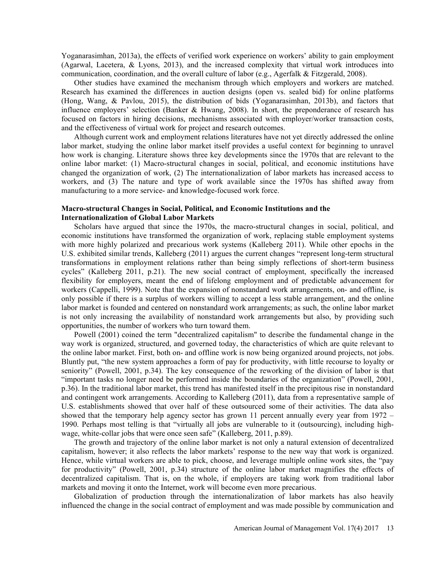Yoganarasimhan, 2013a), the effects of verified work experience on workers' ability to gain employment (Agarwal, Lacetera, & Lyons, 2013), and the increased complexity that virtual work introduces into communication, coordination, and the overall culture of labor (e.g., Agerfalk & Fitzgerald, 2008).

Other studies have examined the mechanism through which employers and workers are matched. Research has examined the differences in auction designs (open vs. sealed bid) for online platforms (Hong, Wang, & Pavlou, 2015), the distribution of bids (Yoganarasimhan, 2013b), and factors that influence employers' selection (Banker & Hwang, 2008). In short, the preponderance of research has focused on factors in hiring decisions, mechanisms associated with employer/worker transaction costs, and the effectiveness of virtual work for project and research outcomes.

Although current work and employment relations literatures have not yet directly addressed the online labor market, studying the online labor market itself provides a useful context for beginning to unravel how work is changing. Literature shows three key developments since the 1970s that are relevant to the online labor market: (1) Macro-structural changes in social, political, and economic institutions have changed the organization of work, (2) The internationalization of labor markets has increased access to workers, and (3) The nature and type of work available since the 1970s has shifted away from manufacturing to a more service- and knowledge-focused work force.

#### Macro-structural Changes in Social, Political, and Economic Institutions and the Internationalization of Global Labor Markets

Scholars have argued that since the 1970s, the macro-structural changes in social, political, and economic institutions have transformed the organization of work, replacing stable employment systems with more highly polarized and precarious work systems (Kalleberg 2011). While other epochs in the U.S. exhibited similar trends, Kalleberg (2011) argues the current changes "represent long-term structural transformations in employment relations rather than being simply reflections of short-term business cycles (Kalleberg 2011, p.21). The new social contract of employment, specifically the increased flexibility for employers, meant the end of lifelong employment and of predictable advancement for workers (Cappelli, 1999). Note that the expansion of nonstandard work arrangements, on- and offline, is only possible if there is a surplus of workers willing to accept a less stable arrangement, and the online labor market is founded and centered on nonstandard work arrangements; as such, the online labor market is not only increasing the availability of nonstandard work arrangements but also, by providing such opportunities, the number of workers who turn toward them.

Powell (2001) coined the term "decentralized capitalism" to describe the fundamental change in the way work is organized, structured, and governed today, the characteristics of which are quite relevant to the online labor market. First, both on- and offline work is now being organized around projects, not jobs. Bluntly put, "the new system approaches a form of pay for productivity, with little recourse to loyalty or seniority" (Powell, 2001, p.34). The key consequence of the reworking of the division of labor is that important tasks no longer need be performed inside the boundaries of the organization (Powell, 2001, p.36). In the traditional labor market, this trend has manifested itself in the precipitous rise in nonstandard and contingent work arrangements. According to Kalleberg (2011), data from a representative sample of U.S. establishments showed that over half of these outsourced some of their activities. The data also showed that the temporary help agency sector has grown 11 percent annually every year from  $1972 -$ 1990. Perhaps most telling is that "virtually all jobs are vulnerable to it (outsourcing), including highwage, white-collar jobs that were once seen safe" (Kalleberg, 2011, p.89).

The growth and trajectory of the online labor market is not only a natural extension of decentralized capitalism, however; it also reflects the labor markets response to the new way that work is organized. Hence, while virtual workers are able to pick, choose, and leverage multiple online work sites, the "pay" for productivity" (Powell, 2001, p.34) structure of the online labor market magnifies the effects of decentralized capitalism. That is, on the whole, if employers are taking work from traditional labor markets and moving it onto the Internet, work will become even more precarious.

Globalization of production through the internationalization of labor markets has also heavily influenced the change in the social contract of employment and was made possible by communication and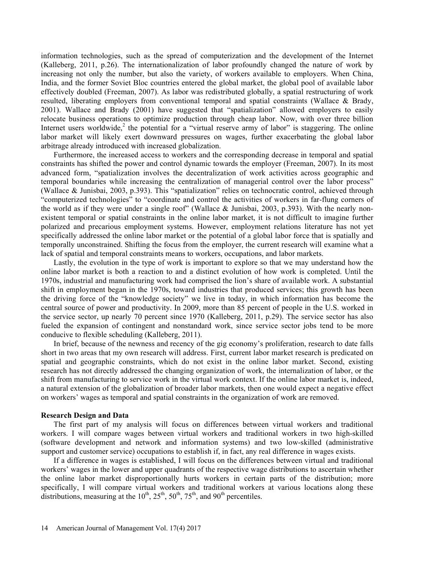information technologies, such as the spread of computerization and the development of the Internet (Kalleberg, 2011, p.26). The internationalization of labor profoundly changed the nature of work by increasing not only the number, but also the variety, of workers available to employers. When China, India, and the former Soviet Bloc countries entered the global market, the global pool of available labor effectively doubled (Freeman, 2007). As labor was redistributed globally, a spatial restructuring of work resulted, liberating employers from conventional temporal and spatial constraints (Wallace & Brady,  $2001$ ). Wallace and Brady  $(2001)$  have suggested that "spatialization" allowed employers to easily relocate business operations to optimize production through cheap labor. Now, with over three billion Internet users worldwide,<sup>2</sup> the potential for a "virtual reserve army of labor" is staggering. The online labor market will likely exert downward pressures on wages, further exacerbating the global labor arbitrage already introduced with increased globalization.

Furthermore, the increased access to workers and the corresponding decrease in temporal and spatial constraints has shifted the power and control dynamic towards the employer (Freeman, 2007). In its most advanced form, "spatialization involves the decentralization of work activities across geographic and temporal boundaries while increasing the centralization of managerial control over the labor process (Wallace & Junisbai, 2003, p.393). This "spatialization" relies on technocratic control, achieved through "computerized technologies" to "coordinate and control the activities of workers in far-flung corners of the world as if they were under a single roof" (Wallace & Junisbai, 2003, p.393). With the nearly nonexistent temporal or spatial constraints in the online labor market, it is not difficult to imagine further polarized and precarious employment systems. However, employment relations literature has not yet specifically addressed the online labor market or the potential of a global labor force that is spatially and temporally unconstrained. Shifting the focus from the employer, the current research will examine what a lack of spatial and temporal constraints means to workers, occupations, and labor markets.

Lastly, the evolution in the type of work is important to explore so that we may understand how the online labor market is both a reaction to and a distinct evolution of how work is completed. Until the 1970s, industrial and manufacturing work had comprised the lion's share of available work. A substantial shift in employment began in the 1970s, toward industries that produced services; this growth has been the driving force of the "knowledge society" we live in today, in which information has become the central source of power and productivity. In 2009, more than 85 percent of people in the U.S. worked in the service sector, up nearly 70 percent since 1970 (Kalleberg, 2011, p.29). The service sector has also fueled the expansion of contingent and nonstandard work, since service sector jobs tend to be more conducive to flexible scheduling (Kalleberg, 2011).

In brief, because of the newness and recency of the gig economy's proliferation, research to date falls short in two areas that my own research will address. First, current labor market research is predicated on spatial and geographic constraints, which do not exist in the online labor market. Second, existing research has not directly addressed the changing organization of work, the internalization of labor, or the shift from manufacturing to service work in the virtual work context. If the online labor market is, indeed, a natural extension of the globalization of broader labor markets, then one would expect a negative effect on workers' wages as temporal and spatial constraints in the organization of work are removed.

#### Research Design and Data

The first part of my analysis will focus on differences between virtual workers and traditional workers. I will compare wages between virtual workers and traditional workers in two high-skilled (software development and network and information systems) and two low-skilled (administrative support and customer service) occupations to establish if, in fact, any real difference in wages exists.

If a difference in wages is established, I will focus on the differences between virtual and traditional workers' wages in the lower and upper quadrants of the respective wage distributions to ascertain whether the online labor market disproportionally hurts workers in certain parts of the distribution; more specifically, I will compare virtual workers and traditional workers at various locations along these distributions, measuring at the  $10^{th}$ ,  $25^{th}$ ,  $50^{th}$ ,  $75^{th}$ , and  $90^{th}$  percentiles.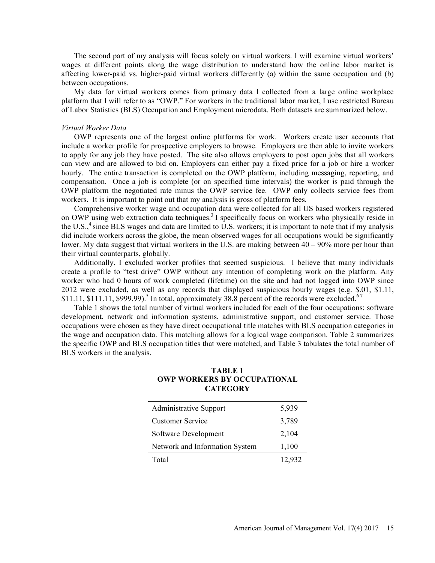The second part of my analysis will focus solely on virtual workers. I will examine virtual workers wages at different points along the wage distribution to understand how the online labor market is affecting lower-paid vs. higher-paid virtual workers differently (a) within the same occupation and (b) between occupations.

My data for virtual workers comes from primary data I collected from a large online workplace platform that I will refer to as "OWP." For workers in the traditional labor market, I use restricted Bureau of Labor Statistics (BLS) Occupation and Employment microdata. Both datasets are summarized below.

#### Virtual Worker Data

OWP represents one of the largest online platforms for work. Workers create user accounts that include a worker profile for prospective employers to browse. Employers are then able to invite workers to apply for any job they have posted. The site also allows employers to post open jobs that all workers can view and are allowed to bid on. Employers can either pay a fixed price for a job or hire a worker hourly. The entire transaction is completed on the OWP platform, including messaging, reporting, and compensation. Once a job is complete (or on specified time intervals) the worker is paid through the OWP platform the negotiated rate minus the OWP service fee. OWP only collects service fees from workers. It is important to point out that my analysis is gross of platform fees.

Comprehensive worker wage and occupation data were collected for all US based workers registered on OWP using web extraction data techniques.<sup>3</sup> I specifically focus on workers who physically reside in the U.S., $<sup>4</sup>$  since BLS wages and data are limited to U.S. workers; it is important to note that if my analysis</sup> did include workers across the globe, the mean observed wages for all occupations would be significantly lower. My data suggest that virtual workers in the U.S. are making between  $40 - 90\%$  more per hour than their virtual counterparts, globally.

Additionally, I excluded worker profiles that seemed suspicious. I believe that many individuals create a profile to "test drive" OWP without any intention of completing work on the platform. Any worker who had 0 hours of work completed (lifetime) on the site and had not logged into OWP since 2012 were excluded, as well as any records that displayed suspicious hourly wages (e.g. \$.01, \$1.11, \$11.11, \$111.11, \$999.99).<sup>5</sup> In total, approximately 38.8 percent of the records were excluded.<sup>67</sup>

Table 1 shows the total number of virtual workers included for each of the four occupations: software development, network and information systems, administrative support, and customer service. Those occupations were chosen as they have direct occupational title matches with BLS occupation categories in the wage and occupation data. This matching allows for a logical wage comparison. Table 2 summarizes the specific OWP and BLS occupation titles that were matched, and Table 3 tabulates the total number of BLS workers in the analysis. md data are limited to U.S. workers; it is important to note that if my analysis<br>e globe, the mean observed wages for all occupations would be significantly<br>virtual workers in the U.S. are making between 40 – 90% more per gioot, in that observed wags for an occupations would observed with<br>eigenous wirtual workers in the U.S. are making between 40 – 90% more per hour than<br>hally.<br>Writhout any intertion of completing work on the platform. Any

## TABLE 1 OWP WORKERS BY OCCUPATIONAL **CATEGORY**

| <b>Administrative Support</b>  | 5,939  |
|--------------------------------|--------|
| <b>Customer Service</b>        | 3,789  |
| Software Development           | 2,104  |
| Network and Information System | 1,100  |
| Total                          | 12,932 |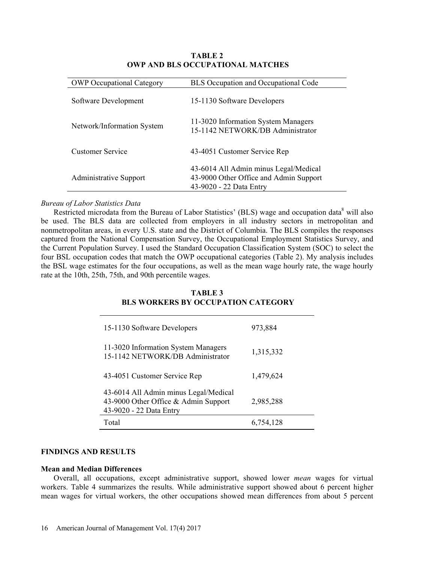| <b>TABLE 2</b><br><b>OWP AND BLS OCCUPATIONAL MATCHES</b> |                                                                                 |  |  |
|-----------------------------------------------------------|---------------------------------------------------------------------------------|--|--|
| <b>OWP Occupational Category</b>                          | BLS Occupation and Occupational Code                                            |  |  |
| Software Development                                      | 15-1130 Software Developers                                                     |  |  |
|                                                           | 11-3020 Information System Managers                                             |  |  |
| Network/Information System                                |                                                                                 |  |  |
|                                                           | 15-1142 NETWORK/DB Administrator                                                |  |  |
| <b>Customer Service</b>                                   | 43-4051 Customer Service Rep                                                    |  |  |
| <b>Administrative Support</b>                             | 43-6014 All Admin minus Legal/Medical<br>43-9000 Other Office and Admin Support |  |  |

# TABLE 2 OWP AND BLS OCCUPATIONAL MATCHES

#### Bureau of Labor Statistics Data

Restricted microdata from the Bureau of Labor Statistics' (BLS) wage and occupation data<sup>8</sup> will also be used. The BLS data are collected from employers in all industry sectors in metropolitan and nonmetropolitan areas, in every U.S. state and the District of Columbia. The BLS compiles the responses captured from the National Compensation Survey, the Occupational Employment Statistics Survey, and the Current Population Survey. I used the Standard Occupation Classification System (SOC) to select the four BSL occupation codes that match the OWP occupational categories (Table 2). My analysis includes the BSL wage estimates for the four occupations, as well as the mean wage hourly rate, the wage hourly rate at the 10th, 25th, 75th, and 90th percentile wages. Service 43-4051 Customer Service Rep<br>
43-6014 All Admin minus Legal/Medical<br>
ative Support 43-9000 Other Office and Admin Support<br>
43-9020 - 22 Data Entry<br>
titities Data<br>
ative Softa<br>
data from the Bureau of Labor Statisti

# TABLE 3 BLS WORKERS BY OCCUPATION CATEGORY

| 15-1130 Software Developers                                                                              | 973,884   |
|----------------------------------------------------------------------------------------------------------|-----------|
| 11-3020 Information System Managers<br>15-1142 NETWORK/DB Administrator                                  | 1,315,332 |
| 43-4051 Customer Service Rep                                                                             | 1,479,624 |
| 43-6014 All Admin minus Legal/Medical<br>43-9000 Other Office & Admin Support<br>43-9020 - 22 Data Entry | 2,985,288 |
| Total                                                                                                    | 6,754,128 |

#### FINDINGS AND RESULTS

#### Mean and Median Differences

Overall, all occupations, except administrative support, showed lower mean wages for virtual workers. Table 4 summarizes the results. While administrative support showed about 6 percent higher mean wages for virtual workers, the other occupations showed mean differences from about 5 percent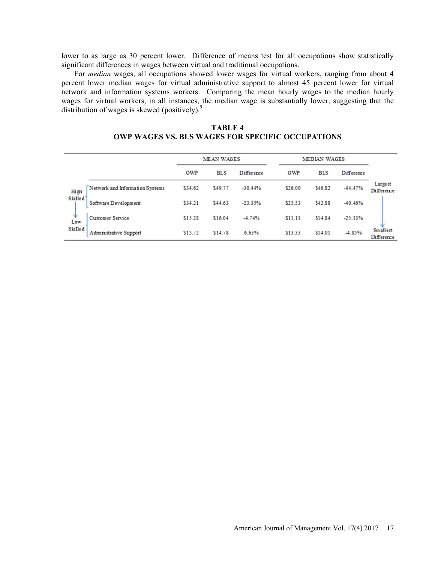lower to as large as 30 percent lower. Difference of means test for all occupations show statistically significant differences in wages between virtual and traditional occupations.

For median wages, all occupations showed lower wages for virtual workers, ranging from about 4 percent lower median wages for virtual administrative support to almost 45 percent lower for virtual network and information systems workers. Comparing the mean hourly wages to the median hourly wages for virtual workers, in all instances, the median wage is substantially lower, suggesting that the distribution of wages is skewed (positively).<sup>9</sup>

| TABLE 4                                                 |  |
|---------------------------------------------------------|--|
| <b>OWP WAGES VS. BLS WAGES FOR SPECIFIC OCCUPATIONS</b> |  |

|                      |                                 |         | MEAN WAGES |            |         | MEDIAN WAGES |            |                        |
|----------------------|---------------------------------|---------|------------|------------|---------|--------------|------------|------------------------|
|                      |                                 | OWP     | <b>BLS</b> | Difference | OWP     | <b>BLS</b>   | Difference |                        |
| High                 | Network and Information Systems | \$34.62 | \$49.77    | $-30.4496$ | \$26.00 | \$46.82      | $-44.4796$ | Large st<br>Difference |
| Skilled <sup>®</sup> | Software Development            | \$34.21 | \$44.63    | $-23.35%$  | \$25.53 | \$42.88      | $-40.46%$  |                        |
| Ψ<br>Low             | Customer Service                | \$15.28 | \$16.04    | $-4.74%$   | \$11.11 | \$14.84      | $-25.13%$  |                        |
| Skilled              | Administrative Support          | \$15.72 | \$14.78    | 6.63%      | \$13.33 | \$14.01      | $-4.85%$   | Smallest<br>Difference |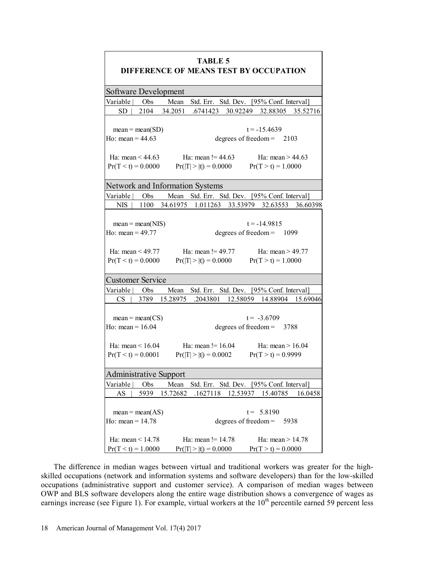| <b>TABLE 5</b><br><b>DIFFERENCE OF MEANS TEST BY OCCUPATION</b>                                                                                               |  |
|---------------------------------------------------------------------------------------------------------------------------------------------------------------|--|
| Software Development                                                                                                                                          |  |
| Variable  <br>Obs<br>Mean<br>Std. Err. Std. Dev. [95% Conf. Interval]                                                                                         |  |
| 2104<br><b>SD</b><br>34.2051<br>.6741423<br>30.92249 32.88305<br>35.52716                                                                                     |  |
| $t = -15.4639$<br>$mean = mean(SD)$<br>Ho: mean = $44.63$<br>degrees of freedom $=$<br>2103                                                                   |  |
| Ha: mean $!= 44.63$<br>Ha: $mean > 44.63$<br>Ha: mean $\leq 44.63$<br>$Pr(T < t) = 0.0000$<br>$Pr( T  >  t ) = 0.0000$<br>$Pr(T > t) = 1.0000$                |  |
| Network and Information Systems                                                                                                                               |  |
| Obs<br>Mean Std. Err. Std. Dev. [95% Conf. Interval]<br>Variable                                                                                              |  |
| <b>NIS</b><br>1100<br>34.61975 1.011263 33.53979 32.63553 36.60398                                                                                            |  |
| $t = -14.9815$<br>$mean = mean(NIS)$<br>Ho: mean = $49.77$<br>degrees of freedom =<br>1099<br>Ha: mean $!= 49.77$<br>Ha: mean $<$ 49.77<br>Ha: mean $> 49.77$ |  |
| $Pr(T < t) = 0.0000$<br>$Pr( T  >  t ) = 0.0000$<br>$Pr(T > t) = 1.0000$                                                                                      |  |
| <b>Customer Service</b>                                                                                                                                       |  |
| Variable<br>Obs<br>Mean Std. Err. Std. Dev. [95% Conf. Interval]                                                                                              |  |
| 3789<br>15.28975<br><b>CS</b><br>.2043801<br>12.58059 14.88904<br>15.69046                                                                                    |  |
| $t = -3.6709$<br>$mean = mean(CS)$<br>Ho: mean = $16.04$<br>degrees of freedom $= 3788$                                                                       |  |
| Ha: mean $!= 16.04$<br>Ha: mean $\leq 16.04$<br>Ha: $mean > 16.04$<br>$Pr(T < t) = 0.0001$<br>$Pr( T  >  t ) = 0.0002$<br>$Pr(T > t) = 0.9999$                |  |
| <b>Administrative Support</b>                                                                                                                                 |  |
| Variable<br>Obs<br>Std. Err. Std. Dev. [95% Conf. Interval]<br>Mean                                                                                           |  |
| .1627118<br>12.53937<br>AS<br>5939<br>15.72682<br>15.40785<br>16.0458                                                                                         |  |
| $t = 5.8190$<br>$mean = mean(AS)$<br>Ho: mean = $14.78$<br>degrees of freedom =<br>5938                                                                       |  |
| Ha: mean $!= 14.78$<br>Ha: $mean < 14.78$<br>Ha: $mean > 14.78$                                                                                               |  |
| $Pr(T < t) = 1.0000$<br>$Pr( T  >  t ) = 0.0000$<br>$Pr(T > t) = 0.0000$                                                                                      |  |

The difference in median wages between virtual and traditional workers was greater for the highskilled occupations (network and information systems and software developers) than for the low-skilled occupations (administrative support and customer service). A comparison of median wages between OWP and BLS software developers along the entire wage distribution shows a convergence of wages as earnings increase (see Figure 1). For example, virtual workers at the  $10<sup>th</sup>$  percentile earned 59 percent less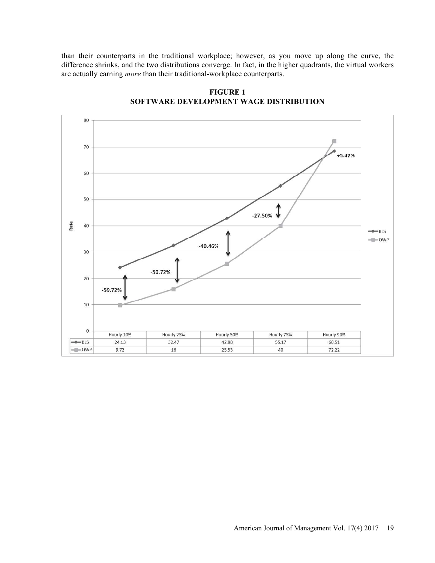than their counterparts in the traditional workplace; however, as you move up along the curve, the difference shrinks, and the two distributions converge. In fact, in the higher quadrants, the virtual workers are actually earning more than their traditional-workplace counterparts.



FIGURE 1 SOFTWARE DEVELOPMENT WAGE DISTRIBUTION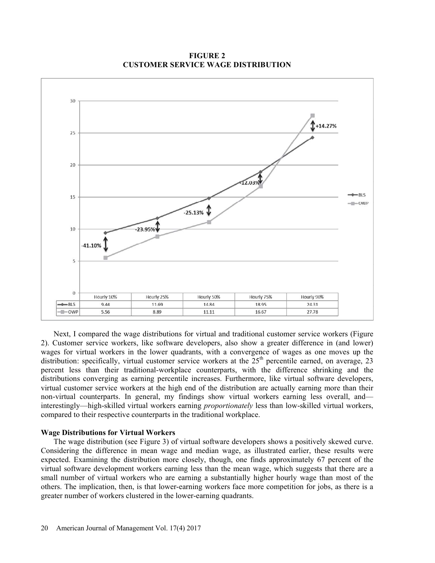$30^{\circ}$  $+14.27%$ 25 20 12.039  $-RIS$ 15  $-$ OWP  $-25.13%$  $-23.95%$ 10  $-41.10%$  $\overline{5}$  $\mathbf{0}$ Hourly 10% Hourly 25% Hourly 50% Hourly 75% Hourly 90%  $-BIS$ 9.44 11.69 14.84 1895 2431  $-$ OWP 5.56 8.89 11.11 16.67 27.78

FIGURE 2 CUSTOMER SERVICE WAGE DISTRIBUTION

Next, I compared the wage distributions for virtual and traditional customer service workers (Figure 2). Customer service workers, like software developers, also show a greater difference in (and lower) wages for virtual workers in the lower quadrants, with a convergence of wages as one moves up the distribution: specifically, virtual customer service workers at the 25<sup>th</sup> percentile earned, on average, 23 percent less than their traditional-workplace counterparts, with the difference shrinking and the distributions converging as earning percentile increases. Furthermore, like virtual software developers, virtual customer service workers at the high end of the distribution are actually earning more than their non-virtual counterparts. In general, my findings show virtual workers earning less overall, and interestingly—high-skilled virtual workers earning *proportionately* less than low-skilled virtual workers, compared to their respective counterparts in the traditional workplace.

#### Wage Distributions for Virtual Workers

The wage distribution (see Figure 3) of virtual software developers shows a positively skewed curve. Considering the difference in mean wage and median wage, as illustrated earlier, these results were expected. Examining the distribution more closely, though, one finds approximately 67 percent of the virtual software development workers earning less than the mean wage, which suggests that there are a small number of virtual workers who are earning a substantially higher hourly wage than most of the others. The implication, then, is that lower-earning workers face more competition for jobs, as there is a greater number of workers clustered in the lower-earning quadrants.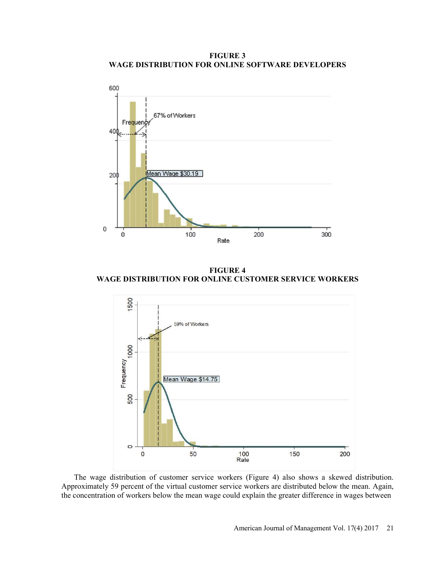FIGURE 3 WAGE DISTRIBUTION FOR ONLINE SOFTWARE DEVELOPERS



FIGURE 4 WAGE DISTRIBUTION FOR ONLINE CUSTOMER SERVICE WORKERS



The wage distribution of customer service workers (Figure 4) also shows a skewed distribution. Approximately 59 percent of the virtual customer service workers are distributed below the mean. Again, the concentration of workers below the mean wage could explain the greater difference in wages between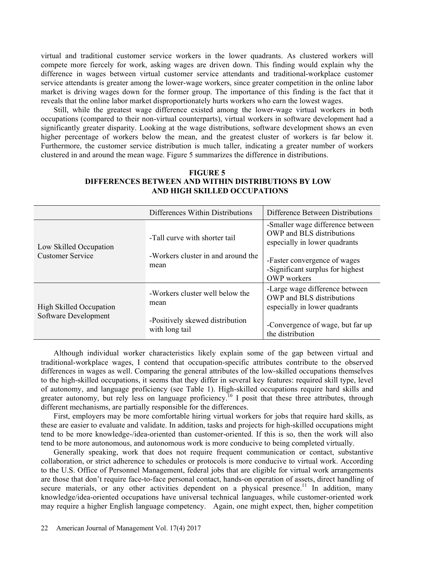virtual and traditional customer service workers in the lower quadrants. As clustered workers will compete more fiercely for work, asking wages are driven down. This finding would explain why the difference in wages between virtual customer service attendants and traditional-workplace customer service attendants is greater among the lower-wage workers, since greater competition in the online labor market is driving wages down for the former group. The importance of this finding is the fact that it reveals that the online labor market disproportionately hurts workers who earn the lowest wages.

Still, while the greatest wage difference existed among the lower-wage virtual workers in both occupations (compared to their non-virtual counterparts), virtual workers in software development had a significantly greater disparity. Looking at the wage distributions, software development shows an even higher percentage of workers below the mean, and the greatest cluster of workers is far below it. Furthermore, the customer service distribution is much taller, indicating a greater number of workers clustered in and around the mean wage. Figure 5 summarizes the difference in distributions.

|                                                   | Differences Within Distributions                                    | Difference Between Distributions                                                               |  |
|---------------------------------------------------|---------------------------------------------------------------------|------------------------------------------------------------------------------------------------|--|
| Low Skilled Occupation<br><b>Customer Service</b> | -Tall curve with shorter tail<br>-Workers cluster in and around the | -Smaller wage difference between<br>OWP and BLS distributions<br>especially in lower quadrants |  |
|                                                   | mean                                                                | -Faster convergence of wages<br>-Significant surplus for highest<br><b>OWP</b> workers         |  |
| <b>High Skilled Occupation</b>                    | -Workers cluster well below the<br>mean                             | -Large wage difference between<br>OWP and BLS distributions<br>especially in lower quadrants   |  |
| Software Development                              | -Positively skewed distribution<br>with long tail                   | -Convergence of wage, but far up<br>the distribution                                           |  |

## FIGURE 5 DIFFERENCES BETWEEN AND WITHIN DISTRIBUTIONS BY LOW AND HIGH SKILLED OCCUPATIONS

Although individual worker characteristics likely explain some of the gap between virtual and traditional-workplace wages, I contend that occupation-specific attributes contribute to the observed differences in wages as well. Comparing the general attributes of the low-skilled occupations themselves to the high-skilled occupations, it seems that they differ in several key features: required skill type, level of autonomy, and language proficiency (see Table 1). High-skilled occupations require hard skills and greater autonomy, but rely less on language proficiency.<sup>10</sup> I posit that these three attributes, through different mechanisms, are partially responsible for the differences.

First, employers may be more comfortable hiring virtual workers for jobs that require hard skills, as these are easier to evaluate and validate. In addition, tasks and projects for high-skilled occupations might tend to be more knowledge-/idea-oriented than customer-oriented. If this is so, then the work will also tend to be more autonomous, and autonomous work is more conducive to being completed virtually.

Generally speaking, work that does not require frequent communication or contact, substantive collaboration, or strict adherence to schedules or protocols is more conducive to virtual work. According to the U.S. Office of Personnel Management, federal jobs that are eligible for virtual work arrangements are those that don't require face-to-face personal contact, hands-on operation of assets, direct handling of secure materials, or any other activities dependent on a physical presence.<sup>11</sup> In addition, many knowledge/idea-oriented occupations have universal technical languages, while customer-oriented work may require a higher English language competency. Again, one might expect, then, higher competition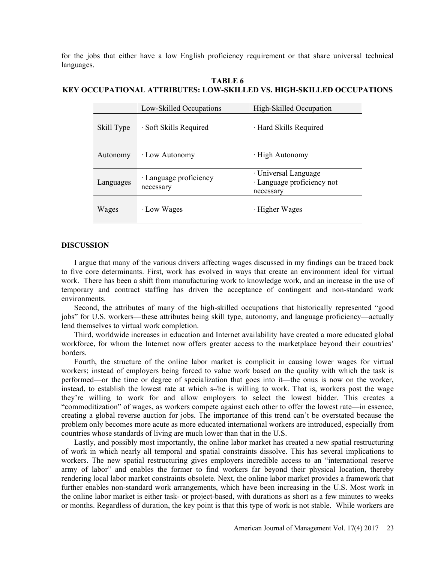for the jobs that either have a low English proficiency requirement or that share universal technical languages.

# Low-Skilled Occupations High-Skilled Occupation Skill Type  $\cdot$  Soft Skills Required  $\cdot$  Hard Skills Required Autonomy · Low Autonomy · High Autonomy Languages **· Language proficiency** necessary · Universal Language · Language proficiency not necessary Wages · Low Wages · Higher Wages

# TABLE 6 KEY OCCUPATIONAL ATTRIBUTES: LOW-SKILLED VS. HIGH-SKILLED OCCUPATIONS

#### DISCUSSION

I argue that many of the various drivers affecting wages discussed in my findings can be traced back to five core determinants. First, work has evolved in ways that create an environment ideal for virtual work. There has been a shift from manufacturing work to knowledge work, and an increase in the use of temporary and contract staffing has driven the acceptance of contingent and non-standard work environments.

Second, the attributes of many of the high-skilled occupations that historically represented "good" jobs" for U.S. workers—these attributes being skill type, autonomy, and language proficiency—actually lend themselves to virtual work completion.

Third, worldwide increases in education and Internet availability have created a more educated global workforce, for whom the Internet now offers greater access to the marketplace beyond their countries' borders.

Fourth, the structure of the online labor market is complicit in causing lower wages for virtual workers; instead of employers being forced to value work based on the quality with which the task is performed—or the time or degree of specialization that goes into it—the onus is now on the worker, instead, to establish the lowest rate at which s-/he is willing to work. That is, workers post the wage they're willing to work for and allow employers to select the lowest bidder. This creates a "commoditization" of wages, as workers compete against each other to offer the lowest rate—in essence, creating a global reverse auction for jobs. The importance of this trend can't be overstated because the problem only becomes more acute as more educated international workers are introduced, especially from countries whose standards of living are much lower than that in the U.S.

Lastly, and possibly most importantly, the online labor market has created a new spatial restructuring of work in which nearly all temporal and spatial constraints dissolve. This has several implications to workers. The new spatial restructuring gives employers incredible access to an "international reserve army of labor" and enables the former to find workers far beyond their physical location, thereby rendering local labor market constraints obsolete. Next, the online labor market provides a framework that further enables non-standard work arrangements, which have been increasing in the U.S. Most work in the online labor market is either task- or project-based, with durations as short as a few minutes to weeks or months. Regardless of duration, the key point is that this type of work is not stable. While workers are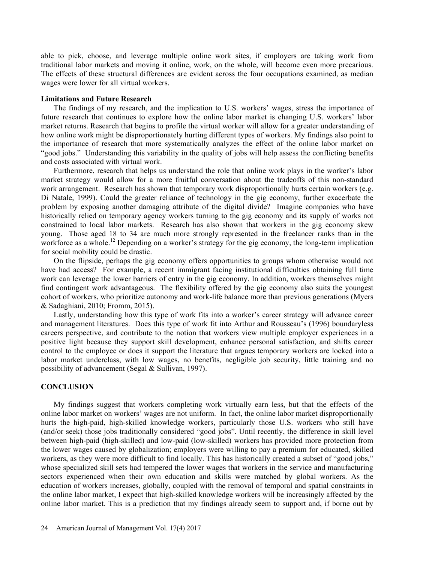able to pick, choose, and leverage multiple online work sites, if employers are taking work from traditional labor markets and moving it online, work, on the whole, will become even more precarious. The effects of these structural differences are evident across the four occupations examined, as median wages were lower for all virtual workers.

#### Limitations and Future Research

The findings of my research, and the implication to U.S. workers' wages, stress the importance of future research that continues to explore how the online labor market is changing U.S. workers' labor market returns. Research that begins to profile the virtual worker will allow for a greater understanding of how online work might be disproportionately hurting different types of workers. My findings also point to the importance of research that more systematically analyzes the effect of the online labor market on "good jobs." Understanding this variability in the quality of jobs will help assess the conflicting benefits and costs associated with virtual work.

Furthermore, research that helps us understand the role that online work plays in the worker's labor market strategy would allow for a more fruitful conversation about the tradeoffs of this non-standard work arrangement. Research has shown that temporary work disproportionally hurts certain workers (e.g. Di Natale, 1999). Could the greater reliance of technology in the gig economy, further exacerbate the problem by exposing another damaging attribute of the digital divide? Imagine companies who have historically relied on temporary agency workers turning to the gig economy and its supply of works not constrained to local labor markets. Research has also shown that workers in the gig economy skew young. Those aged 18 to 34 are much more strongly represented in the freelancer ranks than in the workforce as a whole.<sup>12</sup> Depending on a worker's strategy for the gig economy, the long-term implication for social mobility could be drastic.

On the flipside, perhaps the gig economy offers opportunities to groups whom otherwise would not have had access? For example, a recent immigrant facing institutional difficulties obtaining full time work can leverage the lower barriers of entry in the gig economy. In addition, workers themselves might find contingent work advantageous. The flexibility offered by the gig economy also suits the youngest cohort of workers, who prioritize autonomy and work-life balance more than previous generations (Myers & Sadaghiani, 2010; Fromm, 2015).

Lastly, understanding how this type of work fits into a worker's career strategy will advance career and management literatures. Does this type of work fit into Arthur and Rousseau's (1996) boundaryless careers perspective, and contribute to the notion that workers view multiple employer experiences in a positive light because they support skill development, enhance personal satisfaction, and shifts career control to the employee or does it support the literature that argues temporary workers are locked into a labor market underclass, with low wages, no benefits, negligible job security, little training and no possibility of advancement (Segal & Sullivan, 1997).

# **CONCLUSION**

My findings suggest that workers completing work virtually earn less, but that the effects of the online labor market on workers' wages are not uniform. In fact, the online labor market disproportionally hurts the high-paid, high-skilled knowledge workers, particularly those U.S. workers who still have (and/or seek) those jobs traditionally considered "good jobs". Until recently, the difference in skill level between high-paid (high-skilled) and low-paid (low-skilled) workers has provided more protection from the lower wages caused by globalization; employers were willing to pay a premium for educated, skilled workers, as they were more difficult to find locally. This has historically created a subset of "good jobs," whose specialized skill sets had tempered the lower wages that workers in the service and manufacturing sectors experienced when their own education and skills were matched by global workers. As the education of workers increases, globally, coupled with the removal of temporal and spatial constraints in the online labor market, I expect that high-skilled knowledge workers will be increasingly affected by the online labor market. This is a prediction that my findings already seem to support and, if borne out by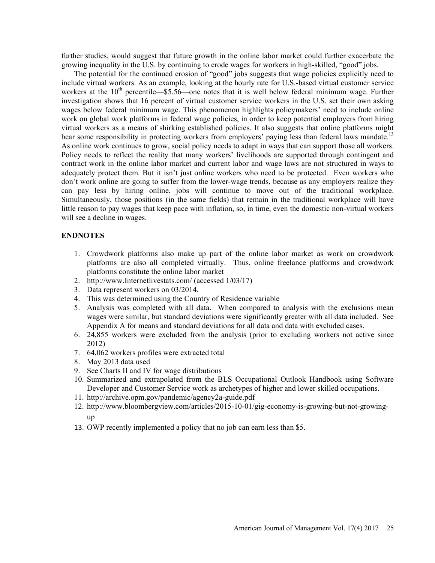further studies, would suggest that future growth in the online labor market could further exacerbate the growing inequality in the U.S. by continuing to erode wages for workers in high-skilled, "good" jobs.

The potential for the continued erosion of "good" jobs suggests that wage policies explicitly need to include virtual workers. As an example, looking at the hourly rate for U.S.-based virtual customer service workers at the  $10^{th}$  percentile - \$5.56 one notes that it is well below federal minimum wage. Further investigation shows that 16 percent of virtual customer service workers in the U.S. set their own asking wages below federal minimum wage. This phenomenon highlights policymakers' need to include online work on global work platforms in federal wage policies, in order to keep potential employers from hiring virtual workers as a means of shirking established policies. It also suggests that online platforms might bear some responsibility in protecting workers from employers' paying less than federal laws mandate.<sup>13</sup> As online work continues to grow, social policy needs to adapt in ways that can support those all workers. Policy needs to reflect the reality that many workers' livelihoods are supported through contingent and contract work in the online labor market and current labor and wage laws are not structured in ways to adequately protect them. But it isn't just online workers who need to be protected. Even workers who don't work online are going to suffer from the lower-wage trends, because as any employers realize they can pay less by hiring online, jobs will continue to move out of the traditional workplace. Simultaneously, those positions (in the same fields) that remain in the traditional workplace will have little reason to pay wages that keep pace with inflation, so, in time, even the domestic non-virtual workers will see a decline in wages.

#### ENDNOTES

- 1. Crowdwork platforms also make up part of the online labor market as work on crowdwork platforms are also all completed virtually. Thus, online freelance platforms and crowdwork platforms constitute the online labor market
- 2. http://www.Internetlivestats.com/ (accessed 1/03/17)
- 3. Data represent workers on 03/2014.
- 4. This was determined using the Country of Residence variable
- 5. Analysis was completed with all data. When compared to analysis with the exclusions mean wages were similar, but standard deviations were significantly greater with all data included. See Appendix A for means and standard deviations for all data and data with excluded cases.
- 6. 24,855 workers were excluded from the analysis (prior to excluding workers not active since 2012)
- 7. 64,062 workers profiles were extracted total
- 8. May 2013 data used
- 9. See Charts II and IV for wage distributions
- 10. Summarized and extrapolated from the BLS Occupational Outlook Handbook using Software Developer and Customer Service work as archetypes of higher and lower skilled occupations.
- 11. http://archive.opm.gov/pandemic/agency2a-guide.pdf
- 12. http://www.bloombergview.com/articles/2015-10-01/gig-economy-is-growing-but-not-growingup
- 13. OWP recently implemented a policy that no job can earn less than \$5.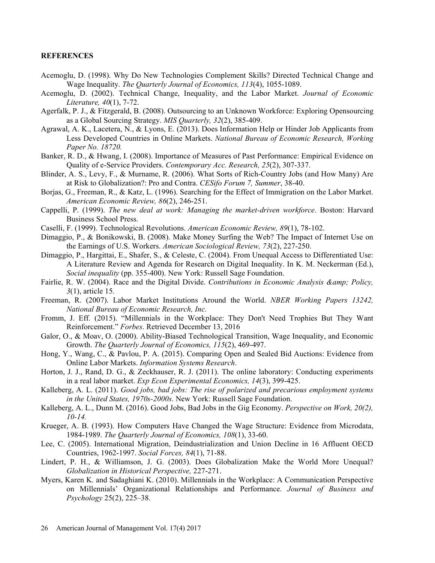#### **REFERENCES**

- Acemoglu, D. (1998). Why Do New Technologies Complement Skills? Directed Technical Change and Wage Inequality. The Quarterly Journal of Economics, 113(4), 1055-1089.
- Acemoglu, D. (2002). Technical Change, Inequality, and the Labor Market. Journal of Economic Literature, 40(1), 7-72.
- Agerfalk, P. J., & Fitzgerald, B. (2008). Outsourcing to an Unknown Workforce: Exploring Opensourcing as a Global Sourcing Strategy. MIS Quarterly, 32(2), 385-409.
- Agrawal, A. K., Lacetera, N., & Lyons, E. (2013). Does Information Help or Hinder Job Applicants from Less Developed Countries in Online Markets. National Bureau of Economic Research, Working Paper No. 18720.
- Banker, R. D., & Hwang, I. (2008). Importance of Measures of Past Performance: Empirical Evidence on Quality of e-Service Providers. Contemporary Acc. Research, 25(2), 307-337.
- Blinder, A. S., Levy, F., & Murname, R. (2006). What Sorts of Rich-Country Jobs (and How Many) Are at Risk to Globalization?: Pro and Contra. CESifo Forum 7, Summer, 38-40.
- Borjas, G., Freeman, R., & Katz, L. (1996). Searching for the Effect of Immigration on the Labor Market. American Economic Review, 86(2), 246-251.
- Cappelli, P. (1999). The new deal at work: Managing the market-driven workforce. Boston: Harvard Business School Press.
- Caselli, F. (1999). Technological Revolutions. American Economic Review, 89(1), 78-102.
- Dimaggio, P., & Bonikowski, B. (2008). Make Money Surfing the Web? The Impact of Internet Use on the Earnings of U.S. Workers. American Sociological Review, 73(2), 227-250.
- Dimaggio, P., Hargittai, E., Shafer, S., & Celeste, C. (2004). From Unequal Access to Differentiated Use: A Literature Review and Agenda for Research on Digital Inequality. In K. M. Neckerman (Ed.), Social inequality (pp. 355-400). New York: Russell Sage Foundation.
- Fairlie, R. W. (2004). Race and the Digital Divide. Contributions in Economic Analysis & amp; Policy, 3(1), article 15.
- Freeman, R. (2007). Labor Market Institutions Around the World. NBER Working Papers 13242, National Bureau of Economic Research, Inc.
- Fromm, J. Eff. (2015). "Millennials in the Workplace: They Don't Need Trophies But They Want Reinforcement." Forbes. Retrieved December 13, 2016
- Galor, O., & Moav, O. (2000). Ability-Biased Technological Transition, Wage Inequality, and Economic Growth. The Quarterly Journal of Economics, 115(2), 469-497.
- Hong, Y., Wang, C., & Pavlou, P. A. (2015). Comparing Open and Sealed Bid Auctions: Evidence from Online Labor Markets. Information Systems Research. Horton, J. J., Rand, D. G., & Zeckhauser, R. J. (2011). The online laboratory: Conducting experiments
- in a real labor market. Exp Econ Experimental Economics, 14(3), 399-425.
- Kalleberg, A. L. (2011). Good jobs, bad jobs: The rise of polarized and precarious employment systems in the United States, 1970s-2000s. New York: Russell Sage Foundation.
- Kalleberg, A. L., Dunn M. (2016). Good Jobs, Bad Jobs in the Gig Economy. Perspective on Work, 20(2), 10-14.
- Krueger, A. B. (1993). How Computers Have Changed the Wage Structure: Evidence from Microdata, 1984-1989. The Quarterly Journal of Economics, 108(1), 33-60.
- Lee, C. (2005). International Migration, Deindustrialization and Union Decline in 16 Affluent OECD Countries, 1962-1997. Social Forces, 84(1), 71-88.
- Lindert, P. H., & Williamson, J. G. (2003). Does Globalization Make the World More Unequal? Globalization in Historical Perspective, 227-271.
- Myers, Karen K. and Sadaghiani K. (2010). Millennials in the Workplace: A Communication Perspective on Millennials' Organizational Relationships and Performance. Journal of Business and  $Psychology 25(2), 225-38.$